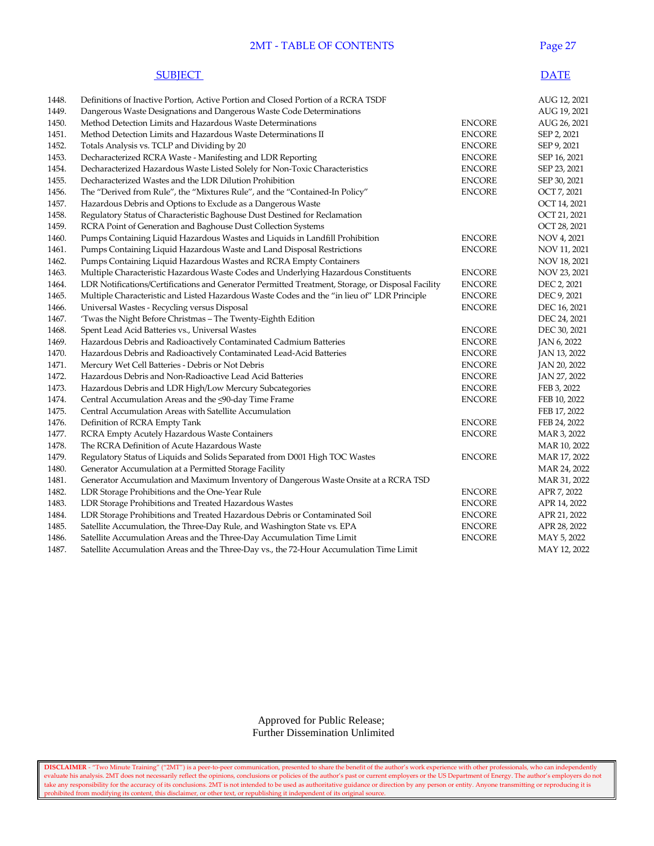## **2MT - TABLE OF CONTENTS** Page 27

#### SUBJECT DATE

| 1448. | Definitions of Inactive Portion, Active Portion and Closed Portion of a RCRA TSDF                 |               | AUG 12, 2021 |
|-------|---------------------------------------------------------------------------------------------------|---------------|--------------|
| 1449. | Dangerous Waste Designations and Dangerous Waste Code Determinations                              |               | AUG 19, 2021 |
| 1450. | Method Detection Limits and Hazardous Waste Determinations                                        | <b>ENCORE</b> | AUG 26, 2021 |
| 1451. | Method Detection Limits and Hazardous Waste Determinations II                                     | <b>ENCORE</b> | SEP 2, 2021  |
| 1452. | Totals Analysis vs. TCLP and Dividing by 20                                                       | <b>ENCORE</b> | SEP 9, 2021  |
| 1453. | Decharacterized RCRA Waste - Manifesting and LDR Reporting                                        | <b>ENCORE</b> | SEP 16, 2021 |
| 1454. | Decharacterized Hazardous Waste Listed Solely for Non-Toxic Characteristics                       | <b>ENCORE</b> | SEP 23, 2021 |
| 1455. | Decharacterized Wastes and the LDR Dilution Prohibition                                           | <b>ENCORE</b> | SEP 30, 2021 |
| 1456. | The "Derived from Rule", the "Mixtures Rule", and the "Contained-In Policy"                       | <b>ENCORE</b> | OCT 7, 2021  |
| 1457. | Hazardous Debris and Options to Exclude as a Dangerous Waste                                      |               | OCT 14, 2021 |
| 1458. | Regulatory Status of Characteristic Baghouse Dust Destined for Reclamation                        |               | OCT 21, 2021 |
| 1459. | RCRA Point of Generation and Baghouse Dust Collection Systems                                     |               | OCT 28, 2021 |
| 1460. | Pumps Containing Liquid Hazardous Wastes and Liquids in Landfill Prohibition                      | <b>ENCORE</b> | NOV 4, 2021  |
| 1461. | Pumps Containing Liquid Hazardous Waste and Land Disposal Restrictions                            | <b>ENCORE</b> | NOV 11, 2021 |
| 1462. | Pumps Containing Liquid Hazardous Wastes and RCRA Empty Containers                                |               | NOV 18, 2021 |
| 1463. | Multiple Characteristic Hazardous Waste Codes and Underlying Hazardous Constituents               | <b>ENCORE</b> | NOV 23, 2021 |
| 1464. | LDR Notifications/Certifications and Generator Permitted Treatment, Storage, or Disposal Facility | <b>ENCORE</b> | DEC 2, 2021  |
| 1465. | Multiple Characteristic and Listed Hazardous Waste Codes and the "in lieu of" LDR Principle       | <b>ENCORE</b> | DEC 9, 2021  |
| 1466. | Universal Wastes - Recycling versus Disposal                                                      | <b>ENCORE</b> | DEC 16, 2021 |
| 1467. | 'Twas the Night Before Christmas - The Twenty-Eighth Edition                                      |               | DEC 24, 2021 |
| 1468. | Spent Lead Acid Batteries vs., Universal Wastes                                                   | <b>ENCORE</b> | DEC 30, 2021 |
| 1469. | Hazardous Debris and Radioactively Contaminated Cadmium Batteries                                 | <b>ENCORE</b> | JAN 6, 2022  |
| 1470. | Hazardous Debris and Radioactively Contaminated Lead-Acid Batteries                               | <b>ENCORE</b> | JAN 13, 2022 |
| 1471. | Mercury Wet Cell Batteries - Debris or Not Debris                                                 | <b>ENCORE</b> | JAN 20, 2022 |
| 1472. | Hazardous Debris and Non-Radioactive Lead Acid Batteries                                          | <b>ENCORE</b> | JAN 27, 2022 |
| 1473. | Hazardous Debris and LDR High/Low Mercury Subcategories                                           | <b>ENCORE</b> | FEB 3, 2022  |
| 1474. | Central Accumulation Areas and the <90-day Time Frame                                             | <b>ENCORE</b> | FEB 10, 2022 |
| 1475. | Central Accumulation Areas with Satellite Accumulation                                            |               | FEB 17, 2022 |
| 1476. | Definition of RCRA Empty Tank                                                                     | <b>ENCORE</b> | FEB 24, 2022 |
| 1477. | RCRA Empty Acutely Hazardous Waste Containers                                                     | <b>ENCORE</b> | MAR 3, 2022  |
| 1478. | The RCRA Definition of Acute Hazardous Waste                                                      |               | MAR 10, 2022 |
| 1479. | Regulatory Status of Liquids and Solids Separated from D001 High TOC Wastes                       | <b>ENCORE</b> | MAR 17, 2022 |
| 1480. | Generator Accumulation at a Permitted Storage Facility                                            |               | MAR 24, 2022 |
| 1481. | Generator Accumulation and Maximum Inventory of Dangerous Waste Onsite at a RCRA TSD              |               | MAR 31, 2022 |
| 1482. | LDR Storage Prohibitions and the One-Year Rule                                                    | <b>ENCORE</b> | APR 7, 2022  |
| 1483. | LDR Storage Prohibitions and Treated Hazardous Wastes                                             | <b>ENCORE</b> | APR 14, 2022 |
| 1484. | LDR Storage Prohibitions and Treated Hazardous Debris or Contaminated Soil                        | <b>ENCORE</b> | APR 21, 2022 |
| 1485. | Satellite Accumulation, the Three-Day Rule, and Washington State vs. EPA                          | <b>ENCORE</b> | APR 28, 2022 |
| 1486. | Satellite Accumulation Areas and the Three-Day Accumulation Time Limit                            | <b>ENCORE</b> | MAY 5, 2022  |
| 1487. | Satellite Accumulation Areas and the Three-Day vs., the 72-Hour Accumulation Time Limit           |               | MAY 12, 2022 |

 Approved for Public Release; Further Dissemination Unlimited

**DISCLAIMER** - "Two Minute Training" ("2MT") is a peer-to-peer communication, presented to share the benefit of the author's work experience with other professionals, who can independently evaluate his analysis. 2MT does not necessarily reflect the opinions, conclusions or policies of the author's past or current employers or the US Department of Energy. The author's employers do not take any responsibility for the accuracy of its conclusions. 2MT is not intended to be used as authoritative guidance or direction by any person or entity. Anyone transmitting or reproducing it is prohibited from modifying its content, this disclaimer, or other text, or republishing it independent of its original source.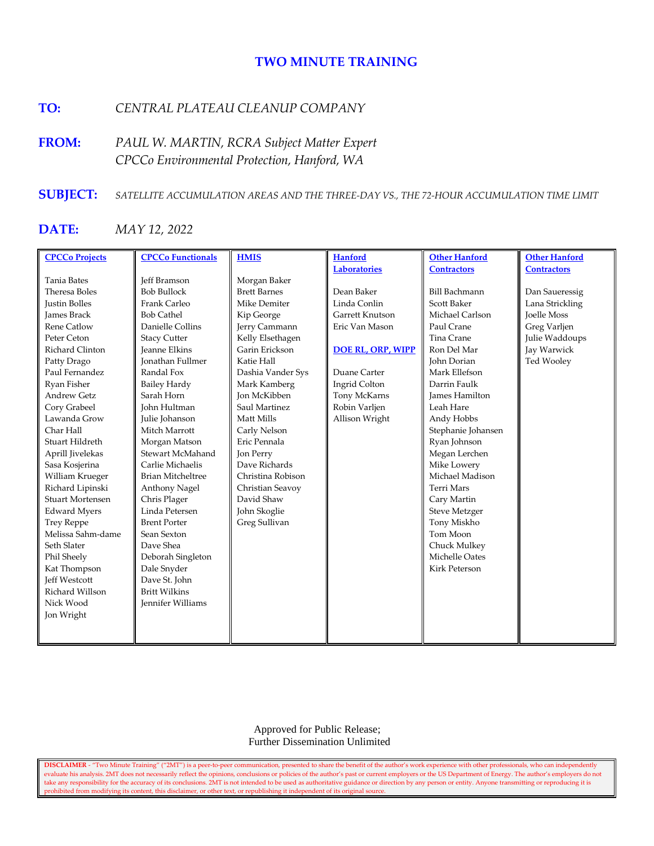# **TWO MINUTE TRAINING**

# **TO:** *CENTRAL PLATEAU CLEANUP COMPANY*

**FROM:** *PAUL W. MARTIN, RCRA Subject Matter Expert CPCCo Environmental Protection, Hanford, WA*

# **SUBJECT:** *SATELLITE ACCUMULATION AREAS AND THE THREE-DAY VS., THE 72-HOUR ACCUMULATION TIME LIMIT*

# **DATE:** *MAY 12, 2022*

| <b>CPCCo Projects</b>   | <b>CPCCo Functionals</b> | <b>HMIS</b>         | <b>Hanford</b>           | <b>Other Hanford</b>  | <b>Other Hanford</b> |
|-------------------------|--------------------------|---------------------|--------------------------|-----------------------|----------------------|
|                         |                          |                     | <b>Laboratories</b>      | <b>Contractors</b>    | <b>Contractors</b>   |
| Tania Bates             | <b>Jeff Bramson</b>      | Morgan Baker        |                          |                       |                      |
| Theresa Boles           | <b>Bob Bullock</b>       | <b>Brett Barnes</b> | Dean Baker               | <b>Bill Bachmann</b>  | Dan Saueressig       |
| <b>Justin Bolles</b>    | Frank Carleo             | Mike Demiter        | Linda Conlin             | <b>Scott Baker</b>    | Lana Strickling      |
| <b>James Brack</b>      | <b>Bob Cathel</b>        | Kip George          | Garrett Knutson          | Michael Carlson       | <b>Joelle Moss</b>   |
| <b>Rene Catlow</b>      | Danielle Collins         | Jerry Cammann       | Eric Van Mason           | Paul Crane            | Greg Varljen         |
| Peter Ceton             | <b>Stacy Cutter</b>      | Kelly Elsethagen    |                          | Tina Crane            | Julie Waddoups       |
| Richard Clinton         | <b>Jeanne Elkins</b>     | Garin Erickson      | <b>DOE RL, ORP, WIPP</b> | Ron Del Mar           | Jay Warwick          |
| Patty Drago             | <b>Ionathan Fullmer</b>  | Katie Hall          |                          | John Dorian           | Ted Wooley           |
| Paul Fernandez          | Randal Fox               | Dashia Vander Sys   | Duane Carter             | Mark Ellefson         |                      |
| Ryan Fisher             | <b>Bailey Hardy</b>      | Mark Kamberg        | Ingrid Colton            | Darrin Faulk          |                      |
| <b>Andrew Getz</b>      | Sarah Horn               | <b>Jon McKibben</b> | Tony McKarns             | <b>James Hamilton</b> |                      |
| Cory Grabeel            | <b>John Hultman</b>      | Saul Martinez       | Robin Varljen            | Leah Hare             |                      |
| Lawanda Grow            | Julie Johanson           | Matt Mills          | Allison Wright           | Andy Hobbs            |                      |
| Char Hall               | Mitch Marrott            | Carly Nelson        |                          | Stephanie Johansen    |                      |
| Stuart Hildreth         | Morgan Matson            | Eric Pennala        |                          | Ryan Johnson          |                      |
| Aprill Jivelekas        | Stewart McMahand         | Jon Perry           |                          | Megan Lerchen         |                      |
| Sasa Kosjerina          | Carlie Michaelis         | Dave Richards       |                          | Mike Lowery           |                      |
| William Krueger         | <b>Brian Mitcheltree</b> | Christina Robison   |                          | Michael Madison       |                      |
| Richard Lipinski        | Anthony Nagel            | Christian Seavoy    |                          | Terri Mars            |                      |
| <b>Stuart Mortensen</b> | Chris Plager             | David Shaw          |                          | Cary Martin           |                      |
| <b>Edward Myers</b>     | Linda Petersen           | John Skoglie        |                          | Steve Metzger         |                      |
| <b>Trey Reppe</b>       | <b>Brent Porter</b>      | Greg Sullivan       |                          | Tony Miskho           |                      |
| Melissa Sahm-dame       | Sean Sexton              |                     |                          | Tom Moon              |                      |
| Seth Slater             | Dave Shea                |                     |                          | Chuck Mulkey          |                      |
| Phil Sheely             | Deborah Singleton        |                     |                          | Michelle Oates        |                      |
| Kat Thompson            | Dale Snyder              |                     |                          | <b>Kirk Peterson</b>  |                      |
| <b>Jeff Westcott</b>    | Dave St. John            |                     |                          |                       |                      |
| Richard Willson         | <b>Britt Wilkins</b>     |                     |                          |                       |                      |
| Nick Wood               | <b>Jennifer Williams</b> |                     |                          |                       |                      |
| Jon Wright              |                          |                     |                          |                       |                      |
|                         |                          |                     |                          |                       |                      |
|                         |                          |                     |                          |                       |                      |

 Approved for Public Release; Further Dissemination Unlimited

**DISCLAIMER** - "Two Minute Training" ("2MT") is a peer-to-peer communication, presented to share the benefit of the author's work experience with other professionals, who can independently evaluate his analysis. 2MT does not necessarily reflect the opinions, conclusions or policies of the author's past or current employers or the US Department of Energy. The author's employers do not take any responsibility for the accuracy of its conclusions. 2MT is not intended to be used as authoritative guidance or direction by any person or entity. Anyone transmitting or reproducing it is prohibited from modifying its content, this disclaimer, or other text, or republishing it independent of its original source.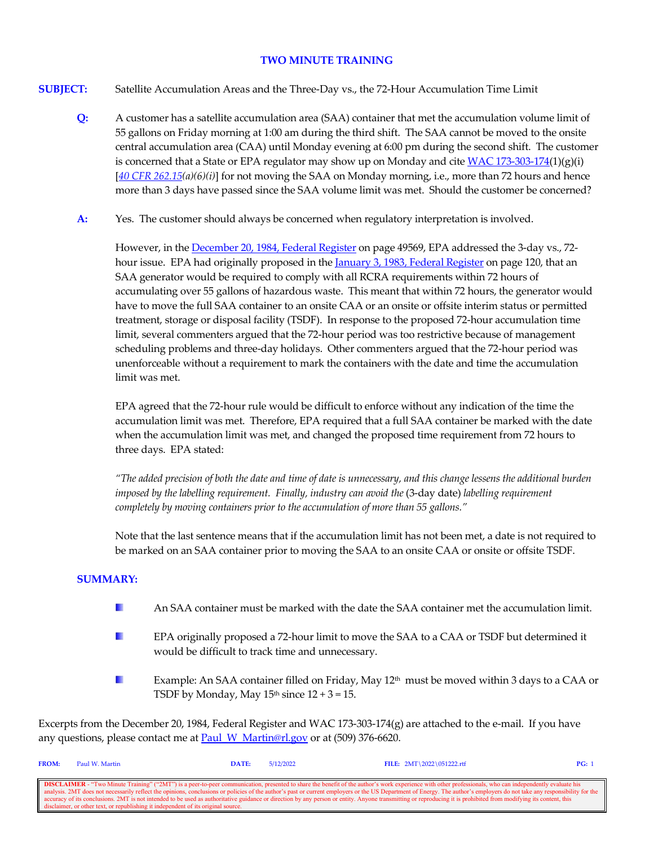## **TWO MINUTE TRAINING**

- **SUBJECT:** Satellite Accumulation Areas and the Three-Day vs., the 72-Hour Accumulation Time Limit
	- **Q:** A customer has a satellite accumulation area (SAA) container that met the accumulation volume limit of 55 gallons on Friday morning at 1:00 am during the third shift. The SAA cannot be moved to the onsite central accumulation area (CAA) until Monday evening at 6:00 pm during the second shift. The customer is concerned that a State or EPA regulator may show up on Monday and cite  $WAC 173-303-174(1)(g)(i)$ [*[40 CFR 262.15\(](https://www.govinfo.gov/content/pkg/CFR-2021-title40-vol28/xml/CFR-2021-title40-vol28-sec262-15.xml)a)(6)(i)*] for not moving the SAA on Monday morning, i.e., more than 72 hours and hence more than 3 days have passed since the SAA volume limit was met. Should the customer be concerned?
	- **A:** Yes. The customer should always be concerned when regulatory interpretation is involved.

However, in th[e December 20, 1984, Federal Register](https://www.govinfo.gov/content/pkg/FR-1984-12-20/pdf/FR-1984-12-20.pdf) on page 49569, EPA addressed the 3-day vs., 72hour issue. EPA had originally proposed in th[e January 3, 1983, Federal Register](https://www.govinfo.gov/content/pkg/FR-1983-01-03/pdf/FR-1983-01-03.pdf) on page 120, that an SAA generator would be required to comply with all RCRA requirements within 72 hours of accumulating over 55 gallons of hazardous waste. This meant that within 72 hours, the generator would have to move the full SAA container to an onsite CAA or an onsite or offsite interim status or permitted treatment, storage or disposal facility (TSDF). In response to the proposed 72-hour accumulation time limit, several commenters argued that the 72-hour period was too restrictive because of management scheduling problems and three-day holidays. Other commenters argued that the 72-hour period was unenforceable without a requirement to mark the containers with the date and time the accumulation limit was met.

EPA agreed that the 72-hour rule would be difficult to enforce without any indication of the time the accumulation limit was met. Therefore, EPA required that a full SAA container be marked with the date when the accumulation limit was met, and changed the proposed time requirement from 72 hours to three days. EPA stated:

*"The added precision of both the date and time of date is unnecessary, and this change lessens the additional burden imposed by the labelling requirement. Finally, industry can avoid the* (3-day date) *labelling requirement completely by moving containers prior to the accumulation of more than 55 gallons."*

Note that the last sentence means that if the accumulation limit has not been met, a date is not required to be marked on an SAA container prior to moving the SAA to an onsite CAA or onsite or offsite TSDF.

## **SUMMARY:**

- **I** An SAA container must be marked with the date the SAA container met the accumulation limit.
- H. EPA originally proposed a 72-hour limit to move the SAA to a CAA or TSDF but determined it would be difficult to track time and unnecessary.
- Example: An SAA container filled on Friday, May 12<sup>th</sup> must be moved within 3 days to a CAA or n. TSDF by Monday, May  $15<sup>th</sup>$  since  $12 + 3 = 15$ .

Excerpts from the December 20, 1984, Federal Register and WAC 173-303-174(g) are attached to the e-mail. If you have any questions, please contact me at Paul W\_Martin@rl.gov or at (509) 376-6620.

| <b>FROM:</b>                                                                                                                                                                                                             | Paul W. Martin                                                                    | DATE: | 5/12/2022 | FILE: $2MT \ 2022 \ 051222.rtf$ | PG: |  |
|--------------------------------------------------------------------------------------------------------------------------------------------------------------------------------------------------------------------------|-----------------------------------------------------------------------------------|-------|-----------|---------------------------------|-----|--|
|                                                                                                                                                                                                                          |                                                                                   |       |           |                                 |     |  |
| <b>DISCLAIMER</b> - "Two Minute Training" ("2MT") is a peer-to-peer communication, presented to share the benefit of the author's work experience with other professionals, who can independently evaluate his           |                                                                                   |       |           |                                 |     |  |
| analysis. 2MT does not necessarily reflect the opinions, conclusions or policies of the author's past or current employers or the US Department of Energy. The author's employers do not take any responsibility for the |                                                                                   |       |           |                                 |     |  |
| cecuracy of its conclusions. 2MT is not intended to be used as authoritative guidance or direction by any person or entity. Anyone transmitting or reproducing it is prohibited from modifying its content, this         |                                                                                   |       |           |                                 |     |  |
|                                                                                                                                                                                                                          | disclaimer, or other text, or republishing it independent of its original source. |       |           |                                 |     |  |